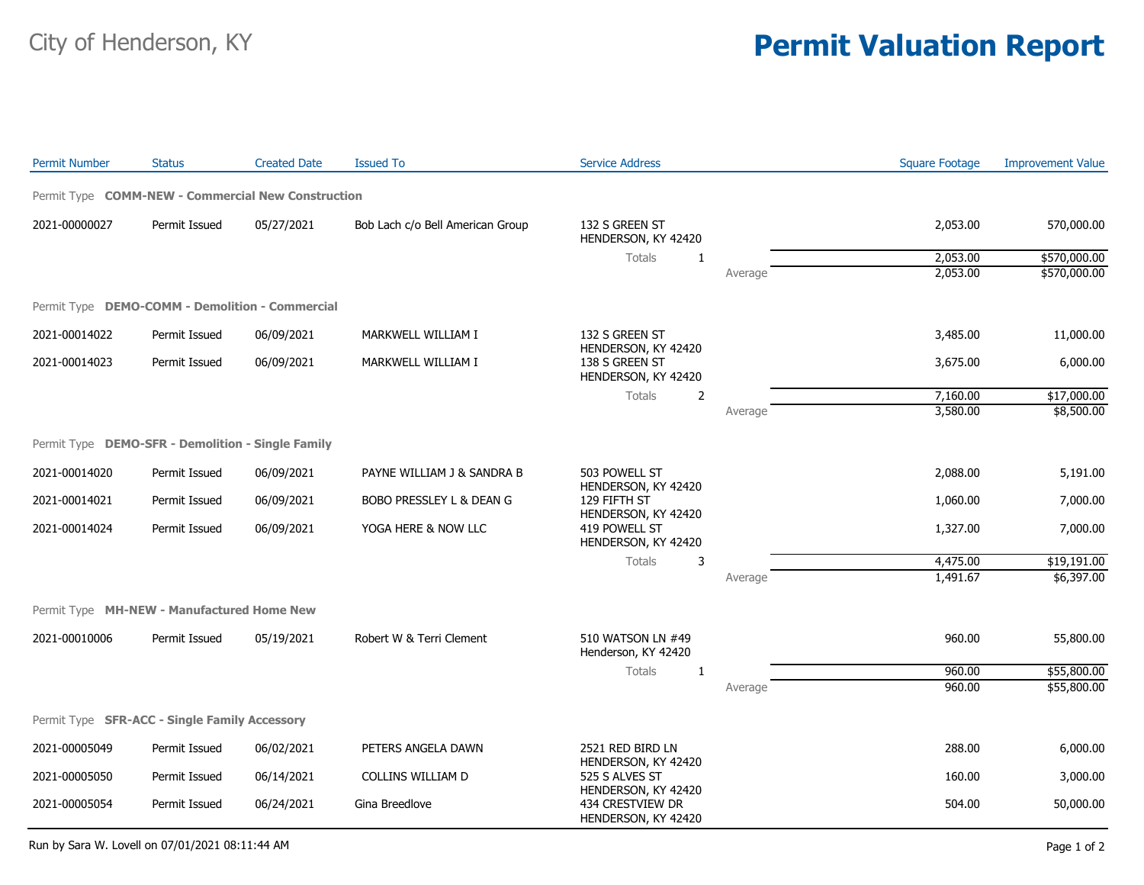## City of Henderson, KY **Permit Valuation Report**

| <b>Permit Number</b>                               | <b>Status</b> | <b>Created Date</b> | <b>Issued To</b>                 | <b>Service Address</b>                                                                                  |         | <b>Square Footage</b> | <b>Improvement Value</b> |
|----------------------------------------------------|---------------|---------------------|----------------------------------|---------------------------------------------------------------------------------------------------------|---------|-----------------------|--------------------------|
| Permit Type COMM-NEW - Commercial New Construction |               |                     |                                  |                                                                                                         |         |                       |                          |
| 2021-00000027                                      | Permit Issued | 05/27/2021          | Bob Lach c/o Bell American Group | 132 S GREEN ST<br>HENDERSON, KY 42420                                                                   |         | 2,053.00              | 570,000.00               |
|                                                    |               |                     |                                  | Totals<br>$\mathbf{1}$                                                                                  |         | 2,053.00              | \$570,000.00             |
|                                                    |               |                     |                                  |                                                                                                         | Average | 2,053.00              | \$570,000.00             |
| Permit Type DEMO-COMM - Demolition - Commercial    |               |                     |                                  |                                                                                                         |         |                       |                          |
| 2021-00014022                                      | Permit Issued | 06/09/2021          | MARKWELL WILLIAM I               | 132 S GREEN ST<br>HENDERSON, KY 42420<br>138 S GREEN ST<br>HENDERSON, KY 42420                          |         | 3,485.00              | 11,000.00                |
| 2021-00014023                                      | Permit Issued | 06/09/2021          | MARKWELL WILLIAM I               |                                                                                                         |         | 3,675.00              | 6,000.00                 |
|                                                    |               |                     |                                  | Totals<br>2                                                                                             |         | 7,160.00              | \$17,000.00              |
|                                                    |               |                     |                                  |                                                                                                         | Average | 3,580.00              | \$8,500.00               |
| Permit Type DEMO-SFR - Demolition - Single Family  |               |                     |                                  |                                                                                                         |         |                       |                          |
| 2021-00014020                                      | Permit Issued | 06/09/2021          | PAYNE WILLIAM J & SANDRA B       | 503 POWELL ST                                                                                           |         | 2,088.00              | 5,191.00                 |
| 2021-00014021                                      | Permit Issued | 06/09/2021          | BOBO PRESSLEY L & DEAN G         | HENDERSON, KY 42420<br>129 FIFTH ST<br>HENDERSON, KY 42420<br>419 POWELL ST<br>HENDERSON, KY 42420      |         | 1,060.00              | 7,000.00                 |
| 2021-00014024                                      | Permit Issued | 06/09/2021          | YOGA HERE & NOW LLC              |                                                                                                         |         | 1,327.00              | 7,000.00                 |
|                                                    |               |                     |                                  | Totals<br>3                                                                                             |         | 4,475.00              | \$19,191.00              |
|                                                    |               |                     |                                  |                                                                                                         | Average | 1,491.67              | \$6,397.00               |
| Permit Type MH-NEW - Manufactured Home New         |               |                     |                                  |                                                                                                         |         |                       |                          |
| 2021-00010006                                      | Permit Issued | 05/19/2021          | Robert W & Terri Clement         | 510 WATSON LN #49<br>Henderson, KY 42420<br>Totals<br>1                                                 |         | 960.00                | 55,800.00                |
|                                                    |               |                     |                                  |                                                                                                         |         | 960.00                | \$55,800.00              |
|                                                    |               |                     |                                  |                                                                                                         | Average | 960.00                | \$55,800.00              |
| Permit Type SFR-ACC - Single Family Accessory      |               |                     |                                  |                                                                                                         |         |                       |                          |
| 2021-00005049                                      | Permit Issued | 06/02/2021          | PETERS ANGELA DAWN               | 2521 RED BIRD LN                                                                                        |         | 288.00                | 6,000.00                 |
| 2021-00005050                                      | Permit Issued | 06/14/2021          | COLLINS WILLIAM D                | HENDERSON, KY 42420<br>525 S ALVES ST<br>HENDERSON, KY 42420<br>434 CRESTVIEW DR<br>HENDERSON, KY 42420 |         | 160.00                | 3,000.00                 |
| 2021-00005054                                      | Permit Issued | 06/24/2021          | Gina Breedlove                   |                                                                                                         |         | 504.00                | 50,000.00                |

Run by Sara W. Lovell on 07/01/2021 08:11:44 AM Page 1 of 2